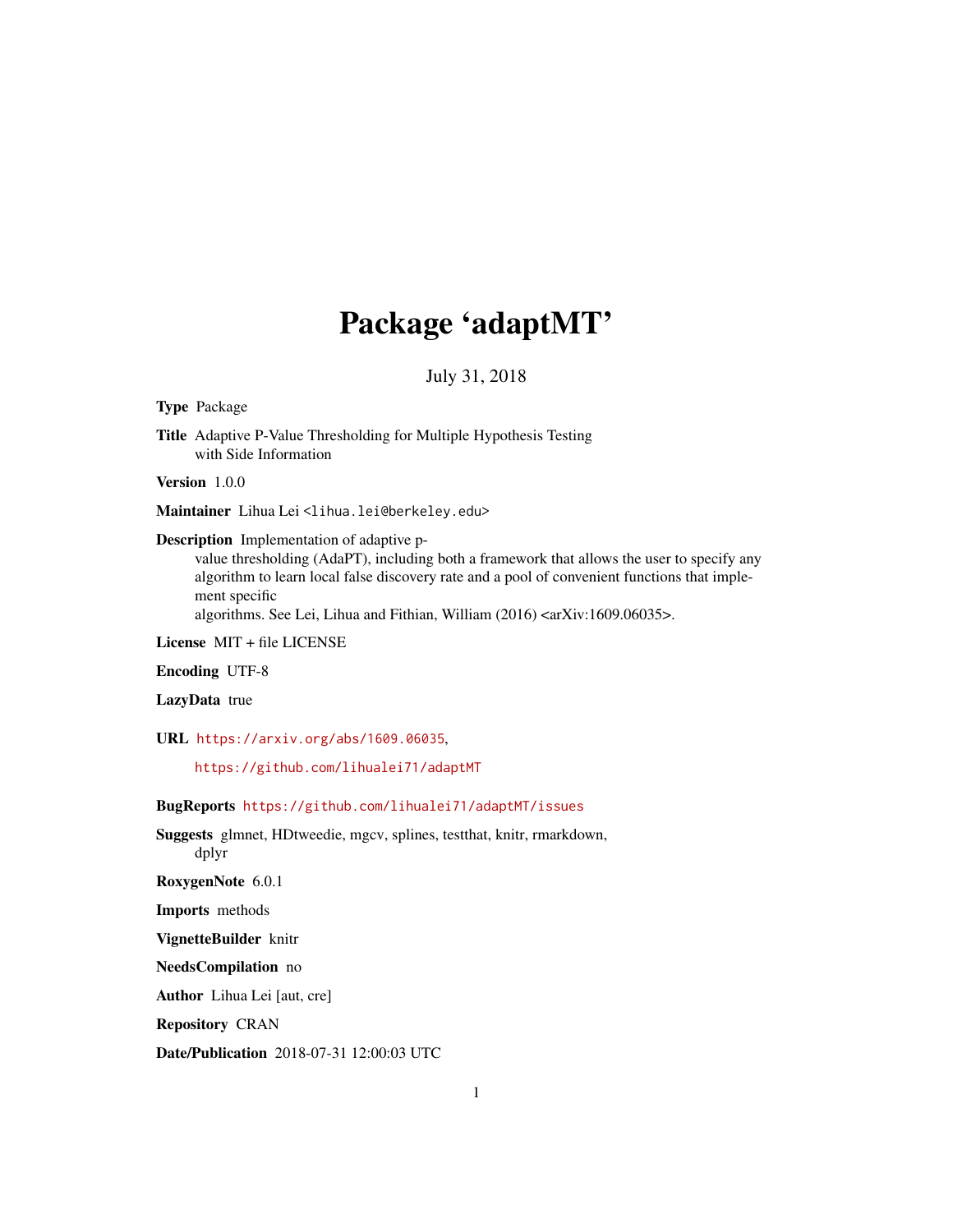# Package 'adaptMT'

July 31, 2018

#### <span id="page-0-0"></span>Type Package

Title Adaptive P-Value Thresholding for Multiple Hypothesis Testing with Side Information

Version 1.0.0

Maintainer Lihua Lei<lihua.lei@berkeley.edu>

Description Implementation of adaptive p-

value thresholding (AdaPT), including both a framework that allows the user to specify any algorithm to learn local false discovery rate and a pool of convenient functions that implement specific

algorithms. See Lei, Lihua and Fithian, William (2016) <arXiv:1609.06035>.

License MIT + file LICENSE

Encoding UTF-8

LazyData true

URL <https://arxiv.org/abs/1609.06035>,

<https://github.com/lihualei71/adaptMT>

# BugReports <https://github.com/lihualei71/adaptMT/issues>

Suggests glmnet, HDtweedie, mgcv, splines, testthat, knitr, rmarkdown, dplyr

RoxygenNote 6.0.1

Imports methods

VignetteBuilder knitr

NeedsCompilation no

Author Lihua Lei [aut, cre]

Repository CRAN

Date/Publication 2018-07-31 12:00:03 UTC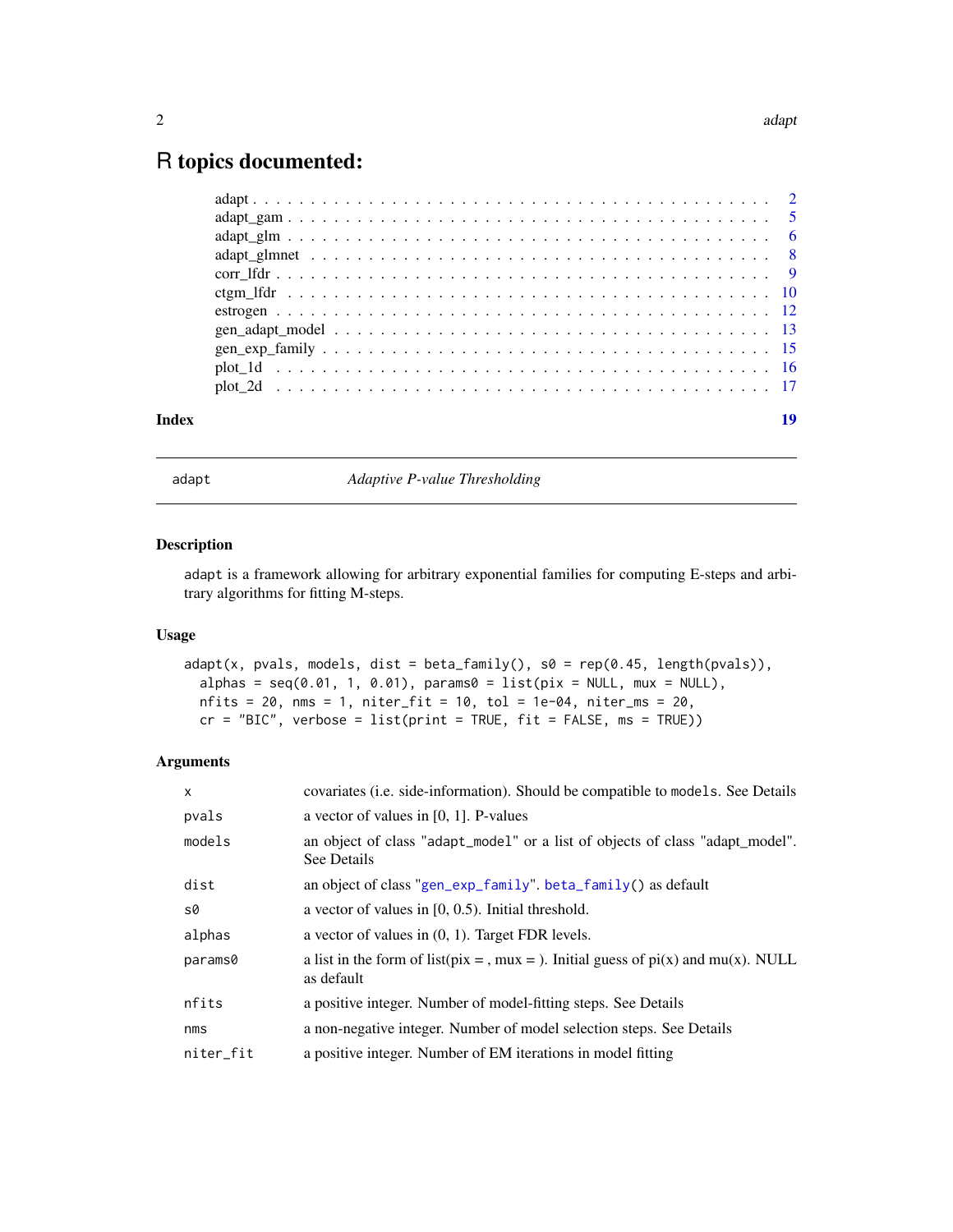# <span id="page-1-0"></span>R topics documented:

| Index | 19 |
|-------|----|
|       |    |
|       |    |
|       |    |
|       |    |
|       |    |
|       |    |
|       |    |
|       |    |
|       |    |
|       |    |
|       |    |

<span id="page-1-1"></span>adapt *Adaptive P-value Thresholding* 

#### Description

adapt is a framework allowing for arbitrary exponential families for computing E-steps and arbitrary algorithms for fitting M-steps.

# Usage

```
adapt(x, pvals, models, dist = beta_family(), s0 = rep(0.45, length(pvals)),alpha = seq(0.01, 1, 0.01), params0 = list(pix = NULL, mux = NULL),nfits = 20, nms = 1, niter_fit = 10, tol = 1e-04, niter_ms = 20,
 cr = "BIC", verbose = list(print = TRUE, fit = FALSE, ms = TRUE))
```

| $\times$  | covariates ( <i>i.e.</i> side-information). Should be compatible to models. See Details            |
|-----------|----------------------------------------------------------------------------------------------------|
| pvals     | a vector of values in $[0, 1]$ . P-values                                                          |
| models    | an object of class "adapt_model" or a list of objects of class "adapt_model".<br>See Details       |
| dist      | an object of class "gen_exp_family". beta_family() as default                                      |
| s0        | a vector of values in $[0, 0.5)$ . Initial threshold.                                              |
| alphas    | a vector of values in $(0, 1)$ . Target FDR levels.                                                |
| params0   | a list in the form of list(pix = , mux = ). Initial guess of $pi(x)$ and mu(x). NULL<br>as default |
| nfits     | a positive integer. Number of model-fitting steps. See Details                                     |
| nms       | a non-negative integer. Number of model selection steps. See Details                               |
| niter_fit | a positive integer. Number of EM iterations in model fitting                                       |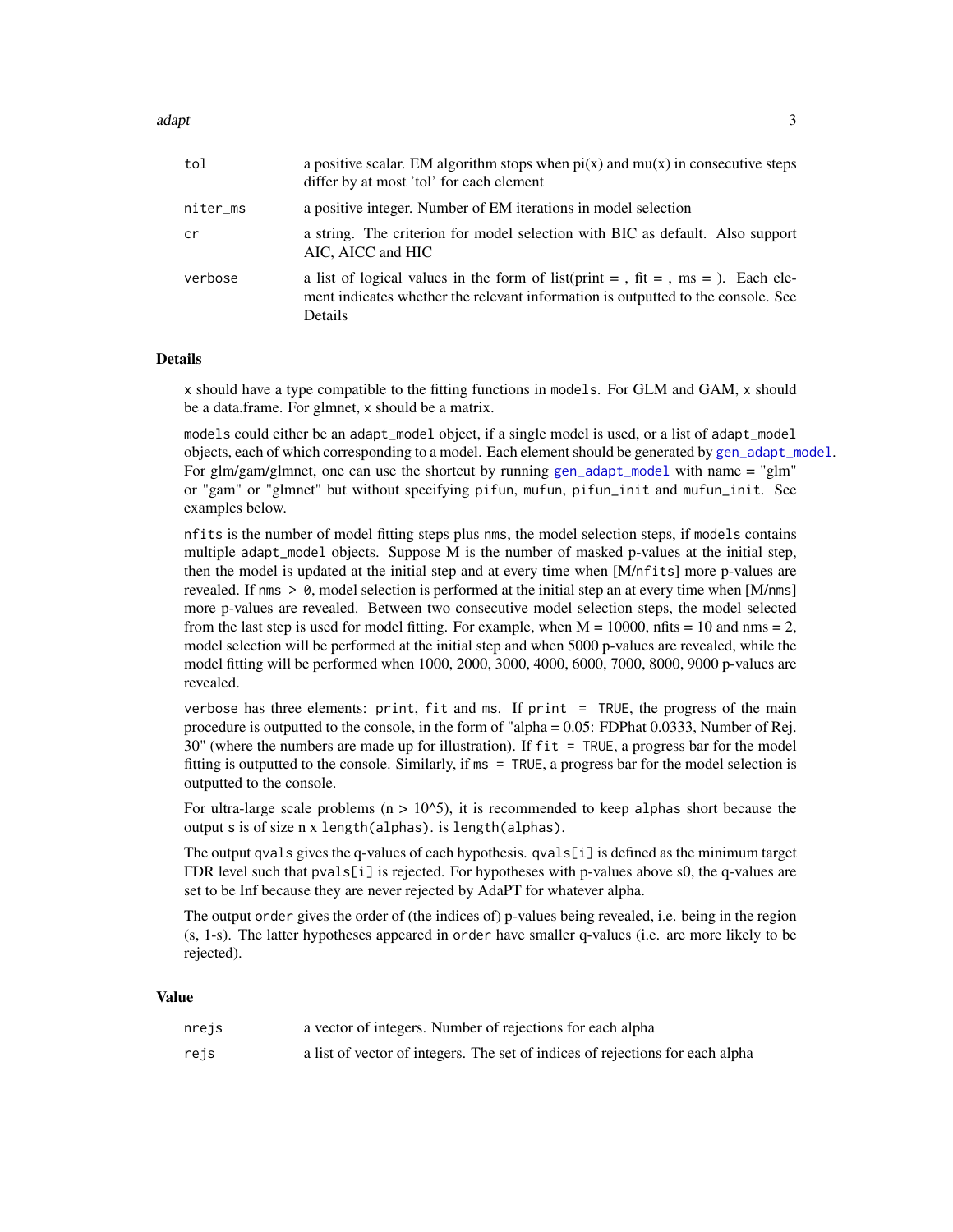<span id="page-2-0"></span>adapt 3

| tol      | a positive scalar. EM algorithm stops when $pi(x)$ and $mu(x)$ in consecutive steps<br>differ by at most 'tol' for each element                                                 |
|----------|---------------------------------------------------------------------------------------------------------------------------------------------------------------------------------|
| niter_ms | a positive integer. Number of EM iterations in model selection                                                                                                                  |
| cr       | a string. The criterion for model selection with BIC as default. Also support<br>AIC, AICC and HIC                                                                              |
| verbose  | a list of logical values in the form of list(print = , fit = , ms = ). Each ele-<br>ment indicates whether the relevant information is outputted to the console. See<br>Details |

# Details

x should have a type compatible to the fitting functions in models. For GLM and GAM, x should be a data.frame. For glmnet, x should be a matrix.

models could either be an adapt\_model object, if a single model is used, or a list of adapt\_model objects, each of which corresponding to a model. Each element should be generated by [gen\\_adapt\\_model](#page-12-1). For glm/gam/glmnet, one can use the shortcut by running [gen\\_adapt\\_model](#page-12-1) with name = "glm" or "gam" or "glmnet" but without specifying pifun, mufun, pifun\_init and mufun\_init. See examples below.

nfits is the number of model fitting steps plus nms, the model selection steps, if models contains multiple adapt\_model objects. Suppose M is the number of masked p-values at the initial step, then the model is updated at the initial step and at every time when [M/nfits] more p-values are revealed. If nms  $> 0$ , model selection is performed at the initial step an at every time when [M/nms] more p-values are revealed. Between two consecutive model selection steps, the model selected from the last step is used for model fitting. For example, when  $M = 10000$ , nfits  $= 10$  and nms  $= 2$ , model selection will be performed at the initial step and when 5000 p-values are revealed, while the model fitting will be performed when 1000, 2000, 3000, 4000, 6000, 7000, 8000, 9000 p-values are revealed.

verbose has three elements: print, fit and ms. If print = TRUE, the progress of the main procedure is outputted to the console, in the form of "alpha = 0.05: FDPhat 0.0333, Number of Rej.  $30$ " (where the numbers are made up for illustration). If fit = TRUE, a progress bar for the model fitting is outputted to the console. Similarly, if ms = TRUE, a progress bar for the model selection is outputted to the console.

For ultra-large scale problems ( $n > 10^{\circ}5$ ), it is recommended to keep alphas short because the output s is of size n x length(alphas). is length(alphas).

The output qvals gives the q-values of each hypothesis. qvals[i] is defined as the minimum target FDR level such that pvals[i] is rejected. For hypotheses with p-values above s0, the q-values are set to be Inf because they are never rejected by AdaPT for whatever alpha.

The output order gives the order of (the indices of) p-values being revealed, i.e. being in the region (s, 1-s). The latter hypotheses appeared in order have smaller q-values (i.e. are more likely to be rejected).

#### Value

| nrejs | a vector of integers. Number of rejections for each alpha                     |
|-------|-------------------------------------------------------------------------------|
| rejs  | a list of vector of integers. The set of indices of rejections for each alpha |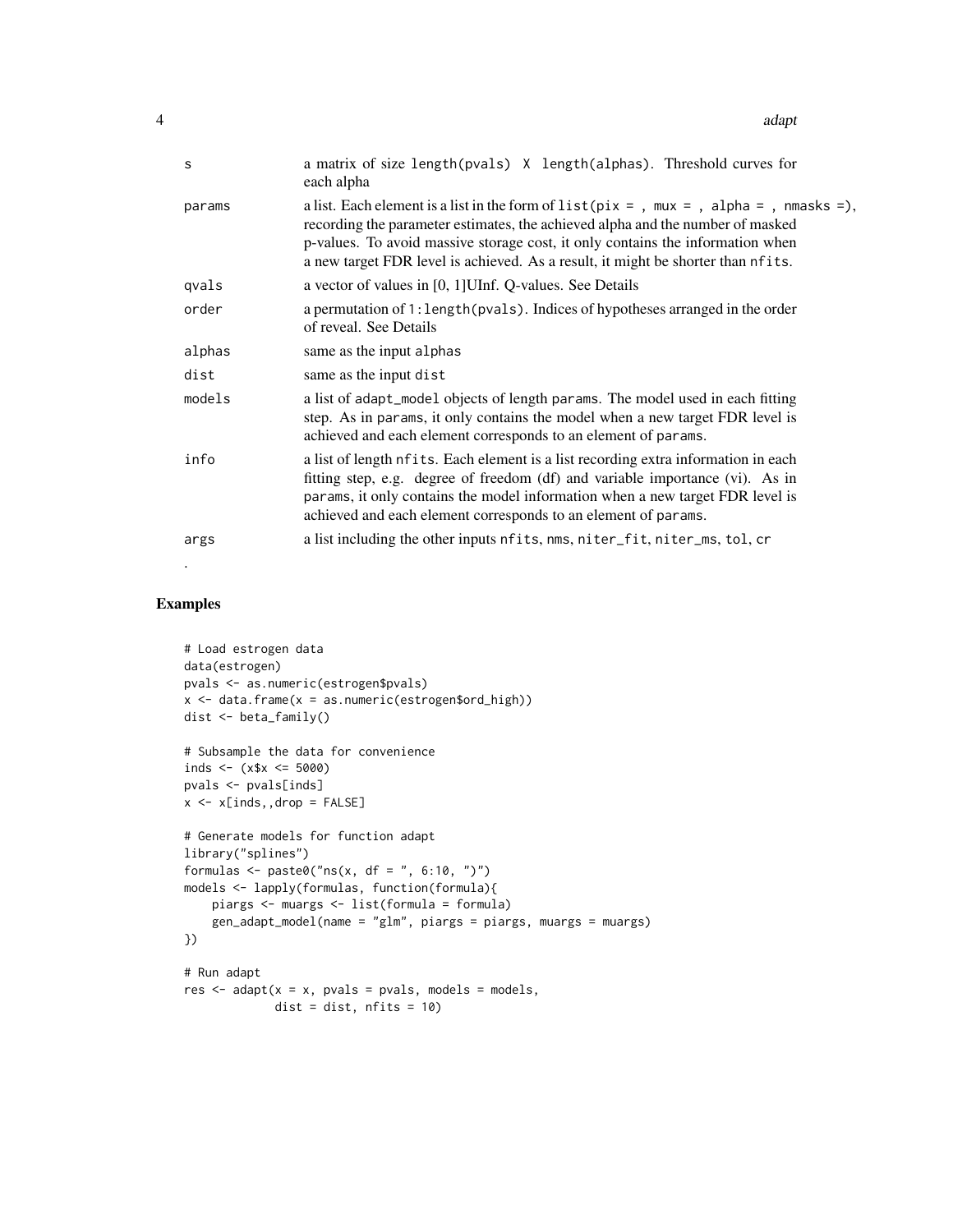| S      | a matrix of size length(pvals) X length(alphas). Threshold curves for<br>each alpha                                                                                                                                                                                                                                                               |
|--------|---------------------------------------------------------------------------------------------------------------------------------------------------------------------------------------------------------------------------------------------------------------------------------------------------------------------------------------------------|
| params | a list. Each element is a list in the form of $list(pix = , max = , alpha = , nmasks =),$<br>recording the parameter estimates, the achieved alpha and the number of masked<br>p-values. To avoid massive storage cost, it only contains the information when<br>a new target FDR level is achieved. As a result, it might be shorter than nfits. |
| qvals  | a vector of values in [0, 1] UInf. Q-values. See Details                                                                                                                                                                                                                                                                                          |
| order  | a permutation of 1: length (pvals). Indices of hypotheses arranged in the order<br>of reveal. See Details                                                                                                                                                                                                                                         |
| alphas | same as the input alphas                                                                                                                                                                                                                                                                                                                          |
| dist   | same as the input dist                                                                                                                                                                                                                                                                                                                            |
| models | a list of adapt_model objects of length params. The model used in each fitting<br>step. As in params, it only contains the model when a new target FDR level is<br>achieved and each element corresponds to an element of params.                                                                                                                 |
| info   | a list of length nfits. Each element is a list recording extra information in each<br>fitting step, e.g. degree of freedom (df) and variable importance (vi). As in<br>params, it only contains the model information when a new target FDR level is<br>achieved and each element corresponds to an element of params.                            |
| args   | a list including the other inputs nfits, nms, niter_fit, niter_ms, tol, cr                                                                                                                                                                                                                                                                        |

#### Examples

.

```
# Load estrogen data
data(estrogen)
pvals <- as.numeric(estrogen$pvals)
x \le - data.frame(x = as.numeric(estrogen$ord_high))
dist <- beta_family()
# Subsample the data for convenience
inds <- (x$x \leq 5000)
pvals <- pvals[inds]
x \leq x \in \text{X} inds,, drop = FALSE]
# Generate models for function adapt
library("splines")
formulas \leq paste0("ns(x, df = ", 6:10, ")")
models <- lapply(formulas, function(formula){
    piargs <- muargs <- list(formula = formula)
    gen_adapt_model(name = "glm", piargs = piargs, muargs = muargs)
})
# Run adapt
res \leq adapt(x = x, pvals = pvals, models = models,
             dist = dist, nfits = 10)
```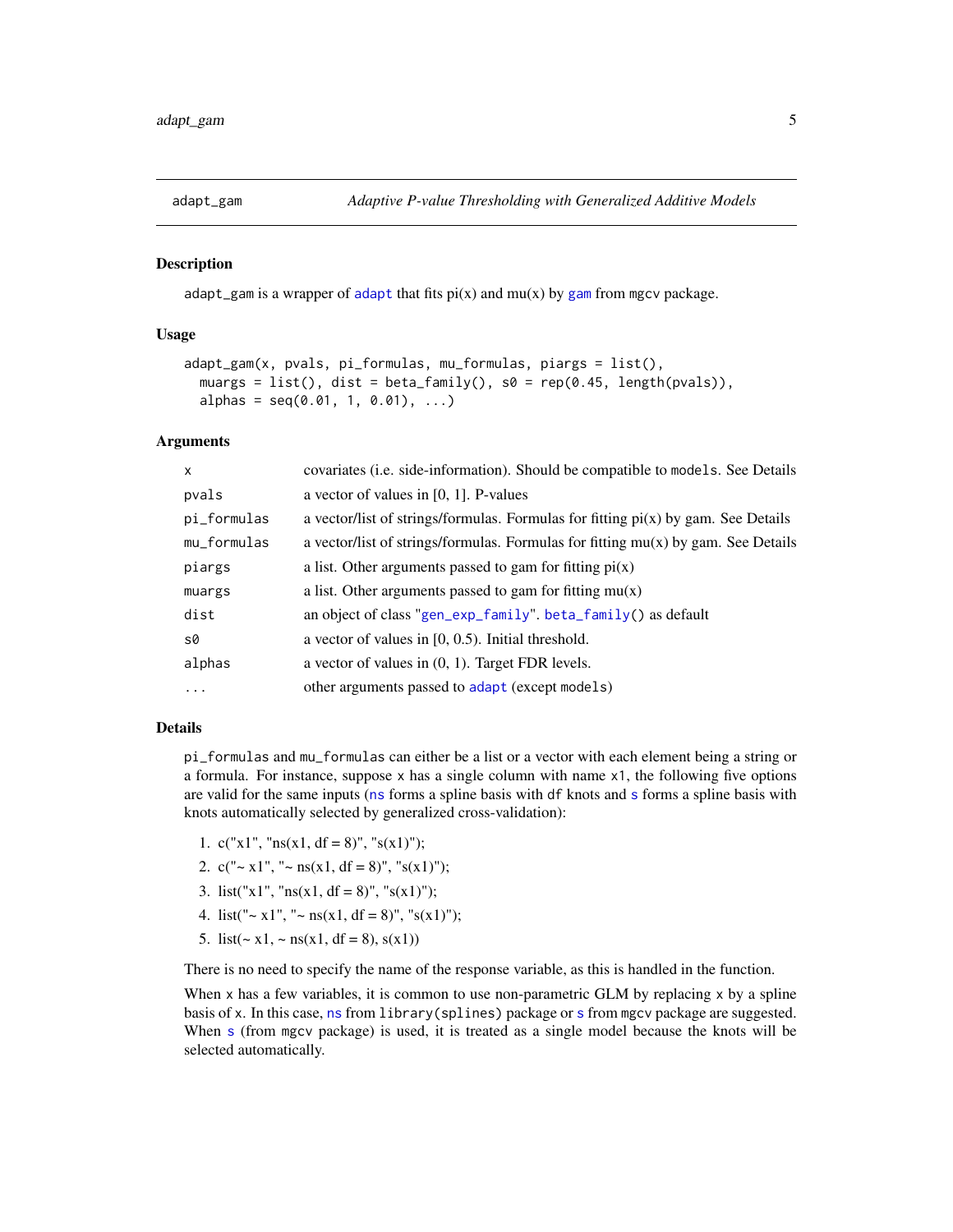<span id="page-4-1"></span><span id="page-4-0"></span>

# **Description**

[adapt](#page-1-1)\_[gam](#page-0-0) is a wrapper of adapt that fits  $pi(x)$  and  $mu(x)$  by gam from mgcv package.

#### Usage

```
adapt_gam(x, pvals, pi_formulas, mu_formulas, piargs = list(),
 muargs = list(), dist = beta_family(), s0 = rep(0.45, length(pvals)),alpha = seq(0.01, 1, 0.01), ...
```
## Arguments

| $\mathsf{x}$ | covariates (i.e. side-information). Should be compatible to models. See Details     |
|--------------|-------------------------------------------------------------------------------------|
| pvals        | a vector of values in $[0, 1]$ . P-values                                           |
| pi_formulas  | a vector/list of strings/formulas. Formulas for fitting $pi(x)$ by gam. See Details |
| mu_formulas  | a vector/list of strings/formulas. Formulas for fitting $mu(x)$ by gam. See Details |
| piargs       | a list. Other arguments passed to gam for fitting $pi(x)$                           |
| muargs       | a list. Other arguments passed to gam for fitting $mu(x)$                           |
| dist         | an object of class "gen_exp_family". beta_family() as default                       |
| s0           | a vector of values in $[0, 0.5)$ . Initial threshold.                               |
| alphas       | a vector of values in $(0, 1)$ . Target FDR levels.                                 |
| $\ddots$     | other arguments passed to adapt (except models)                                     |

# Details

pi\_formulas and mu\_formulas can either be a list or a vector with each element being a string or a formula. For instance, suppose x has a single column with name x1, the following five options are valid for the same inputs ([ns](#page-0-0) forms a spline basis with df knots and [s](#page-0-0) forms a spline basis with knots automatically selected by generalized cross-validation):

- 1. c("x1", " $ns(x1, df = 8)$ ", " $s(x1)$ ");
- 2.  $c("~ x1", " ~ ns(x1, df = 8", "s(x1)");$
- 3. list("x1", "ns(x1, df = 8)", "s(x1)");
- 4. list(" $\sim x1$ ", " $\sim ns(x1, df = 8)$ ", " $s(x1)$ ");
- 5. list( $\sim x1$ ,  $\sim$  ns(x1, df = 8), s(x1))

There is no need to specify the name of the response variable, as this is handled in the function.

When  $x$  has a few variables, it is common to use non-parametric GLM by replacing  $x$  by a spline basis of x. In this case, [ns](#page-0-0) from library(splines) package or [s](#page-0-0) from mgcv package are suggested. When [s](#page-0-0) (from mgcv package) is used, it is treated as a single model because the knots will be selected automatically.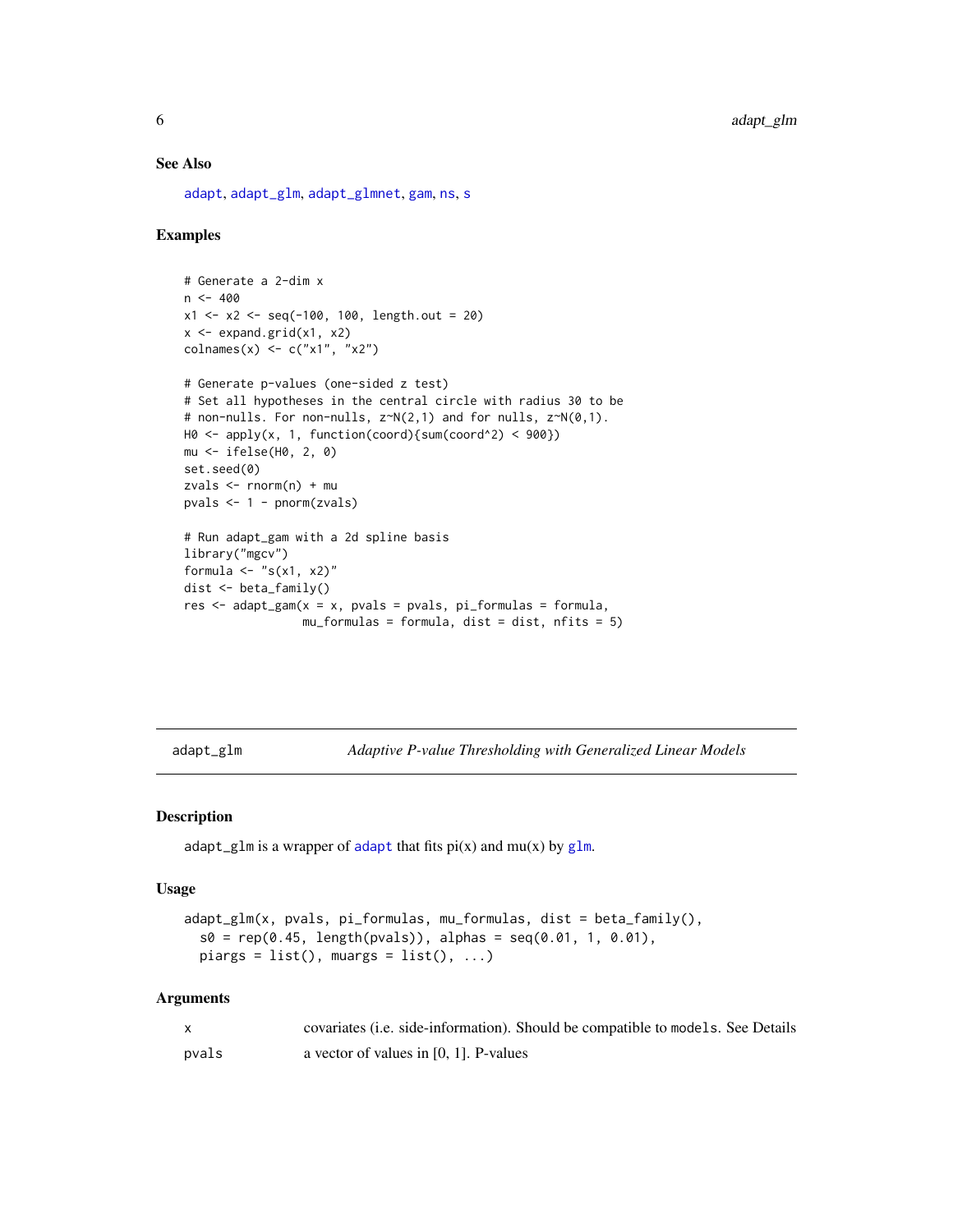#### See Also

[adapt](#page-1-1), [adapt\\_glm](#page-5-1), [adapt\\_glmnet](#page-7-1), [gam](#page-0-0), [ns](#page-0-0), [s](#page-0-0)

# Examples

```
# Generate a 2-dim x
n < -400x1 \le -x2 \le -\text{seq}(-100, 100, \text{length.out} = 20)x <- expand.grid(x1, x2)
\text{colnames}(x) \leq c("x1", "x2")# Generate p-values (one-sided z test)
# Set all hypotheses in the central circle with radius 30 to be
# non-nulls. For non-nulls, z~N(2,1) and for nulls, z~N(0,1).
H0 \leq - apply(x, 1, function(coord){sum(coord^2) < 900})
mu <- ifelse(H0, 2, 0)
set.seed(0)
zvals <- rnorm(n) + mu
pvals <- 1 - pnorm(zvals)
# Run adapt_gam with a 2d spline basis
library("mgcv")
formula \leq "s(x1, x2)"
dist <- beta_family()
res \leq adapt_gam(x = x, pvals = pvals, pi_formulas = formula,
                  mu_formulas = formula, dist = dist, nfits = 5)
```
<span id="page-5-1"></span>adapt\_glm *Adaptive P-value Thresholding with Generalized Linear Models*

#### Description

[adapt](#page-1-1)\_[glm](#page-0-0) is a wrapper of adapt that fits  $pi(x)$  and  $mu(x)$  by glm.

#### Usage

```
adapt_glm(x, pvals, pi_formulas, mu_formulas, dist = beta_family(),
  s0 = rep(0.45, length(pvals)), alphas = seq(0.01, 1, 0.01),piargs = list(), muargs = list(), ...)
```

|       | covariates ( <i>i.e.</i> side-information). Should be compatible to models. See Details |
|-------|-----------------------------------------------------------------------------------------|
| pvals | a vector of values in $[0, 1]$ . P-values                                               |

<span id="page-5-0"></span>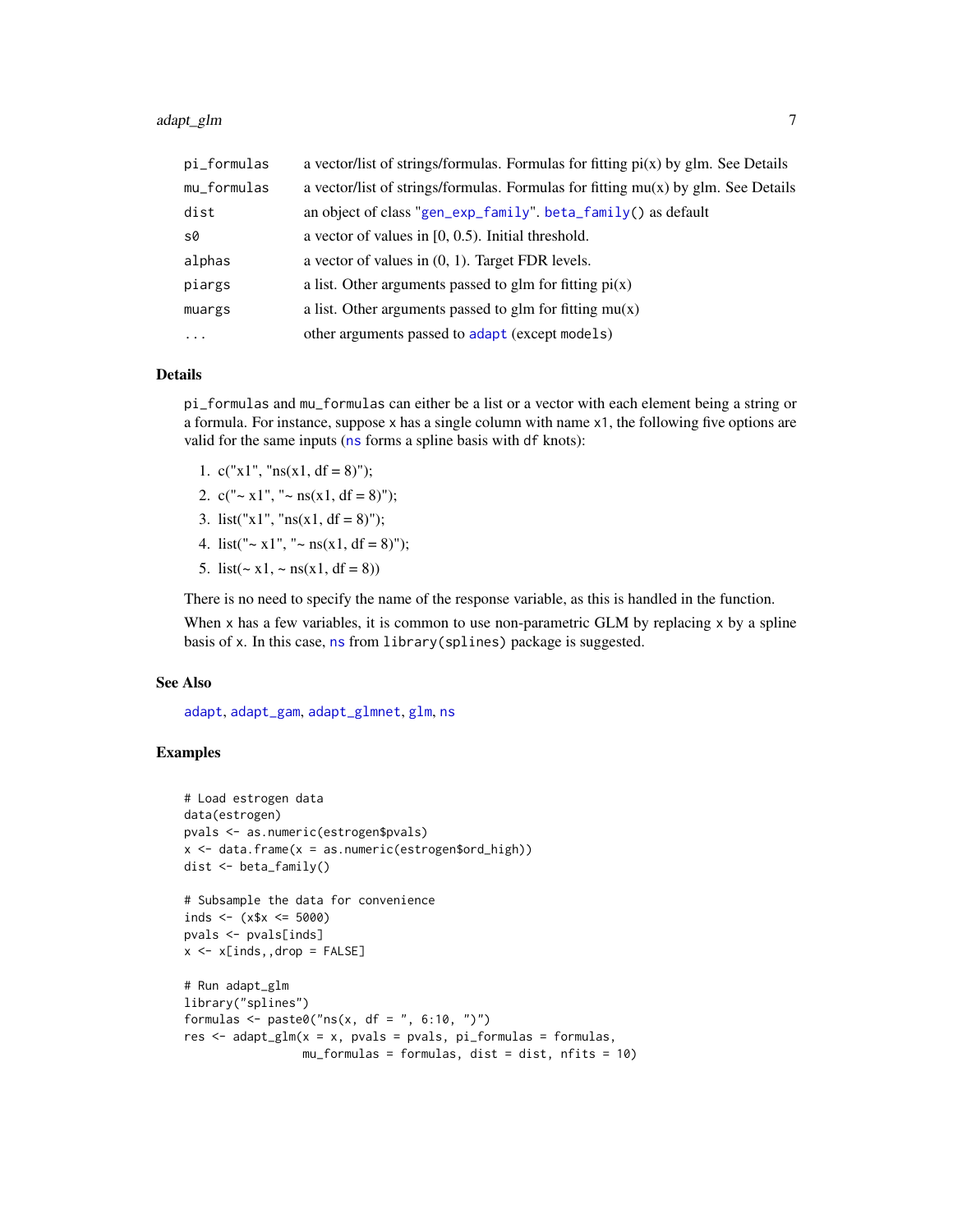# <span id="page-6-0"></span>adapt\_glm 7

| pi_formulas | a vector/list of strings/formulas. Formulas for fitting $pi(x)$ by glm. See Details |
|-------------|-------------------------------------------------------------------------------------|
| mu_formulas | a vector/list of strings/formulas. Formulas for fitting $mu(x)$ by glm. See Details |
| dist        | an object of class "gen_exp_family". beta_family() as default                       |
| s0          | a vector of values in $[0, 0.5)$ . Initial threshold.                               |
| alphas      | a vector of values in $(0, 1)$ . Target FDR levels.                                 |
| piargs      | a list. Other arguments passed to glm for fitting $pi(x)$                           |
| muargs      | a list. Other arguments passed to glm for fitting $mu(x)$                           |
| $\cdots$    | other arguments passed to adapt (except models)                                     |

#### Details

pi\_formulas and mu\_formulas can either be a list or a vector with each element being a string or a formula. For instance, suppose x has a single column with name x1, the following five options are valid for the same inputs ([ns](#page-0-0) forms a spline basis with df knots):

- 1. c("x1", " $ns(x1, df = 8)$ ");
- 2.  $c("~ x1", "~ ns(x1, df = 8)$ ");
- 3. list("x1", " $ns(x1, df = 8)$ ");
- 4. list(" $\sim x1$ ", " $\sim ns(x1, df = 8)$ ");
- 5. list( $\sim x1$ ,  $\sim$  ns(x1, df = 8))

There is no need to specify the name of the response variable, as this is handled in the function.

When  $x$  has a few variables, it is common to use non-parametric GLM by replacing  $x$  by a spline basis of x. In this case, [ns](#page-0-0) from library(splines) package is suggested.

# See Also

[adapt](#page-1-1), [adapt\\_gam](#page-4-1), [adapt\\_glmnet](#page-7-1), [glm](#page-0-0), [ns](#page-0-0)

# Examples

```
# Load estrogen data
data(estrogen)
pvals <- as.numeric(estrogen$pvals)
x \le - data.frame(x = as.numeric(estrogen$ord\_high))
dist <- beta_family()
# Subsample the data for convenience
inds <- (x$x <= 5000)pvals <- pvals[inds]
x \le -x[inds, ,drop = FALSE]# Run adapt_glm
library("splines")
formulas <- paste0("ns(x, df = ", 6:10, ")")res \leq adapt_glm(x = x, pvals = pvals, pi_formulas = formulas,
                 mu_formulas = formulas, dist = dist, nfits = 10)
```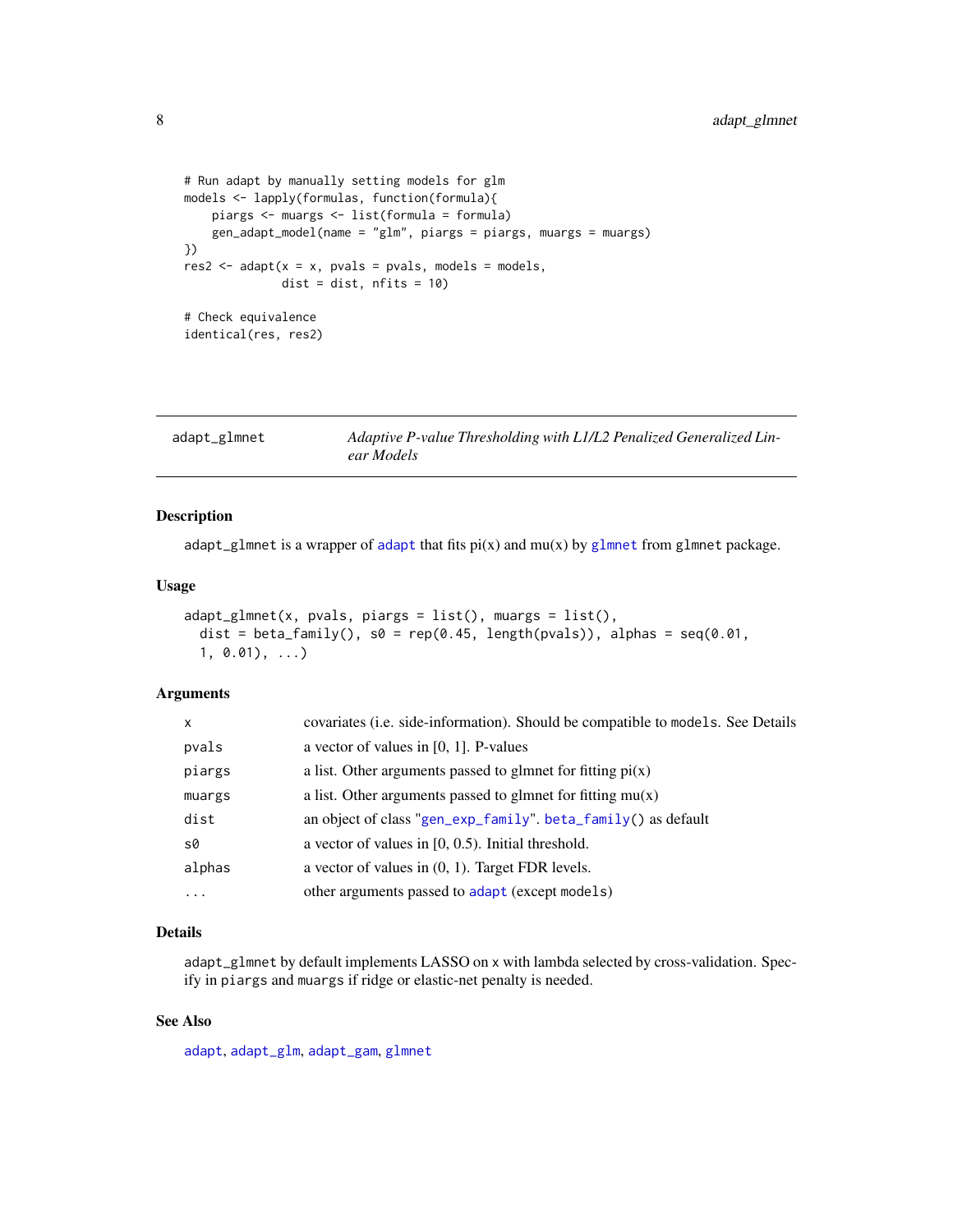```
# Run adapt by manually setting models for glm
models <- lapply(formulas, function(formula){
   piargs <- muargs <- list(formula = formula)
    gen_adapt_model(name = "glm", piargs = piargs, muargs = muargs)
})
res2 <- adapt(x = x, pvals = pvals, models = models,dist = dist, nfits = 10)# Check equivalence
identical(res, res2)
```
<span id="page-7-1"></span>

| adapt_glmnet | Adaptive P-value Thresholding with L1/L2 Penalized Generalized Lin- |
|--------------|---------------------------------------------------------------------|
|              | ear Models                                                          |

#### Description

[adapt](#page-1-1)\_[glmnet](#page-0-0) is a wrapper of adapt that fits  $pi(x)$  and  $mu(x)$  by glmnet from glmnet package.

#### Usage

```
adapt_glmnet(x, pvals, piargs = list(), muargs = list(),
 dist = beta_family(), s0 = rep(0.45, length(pvals)), alpha = seq(0.01,1, 0.01), ...)
```
#### Arguments

| $\mathsf{x}$ | covariates (i.e. side-information). Should be compatible to models. See Details |
|--------------|---------------------------------------------------------------------------------|
| pvals        | a vector of values in $[0, 1]$ . P-values                                       |
| piargs       | a list. Other arguments passed to glmnet for fitting $pi(x)$                    |
| muargs       | a list. Other arguments passed to glmnet for fitting $mu(x)$                    |
| dist         | an object of class "gen_exp_family". beta_family() as default                   |
| s0           | a vector of values in $[0, 0.5)$ . Initial threshold.                           |
| alphas       | a vector of values in $(0, 1)$ . Target FDR levels.                             |
| $\cdots$     | other arguments passed to adapt (except models)                                 |

# Details

adapt\_glmnet by default implements LASSO on x with lambda selected by cross-validation. Specify in piargs and muargs if ridge or elastic-net penalty is needed.

## See Also

[adapt](#page-1-1), [adapt\\_glm](#page-5-1), [adapt\\_gam](#page-4-1), [glmnet](#page-0-0)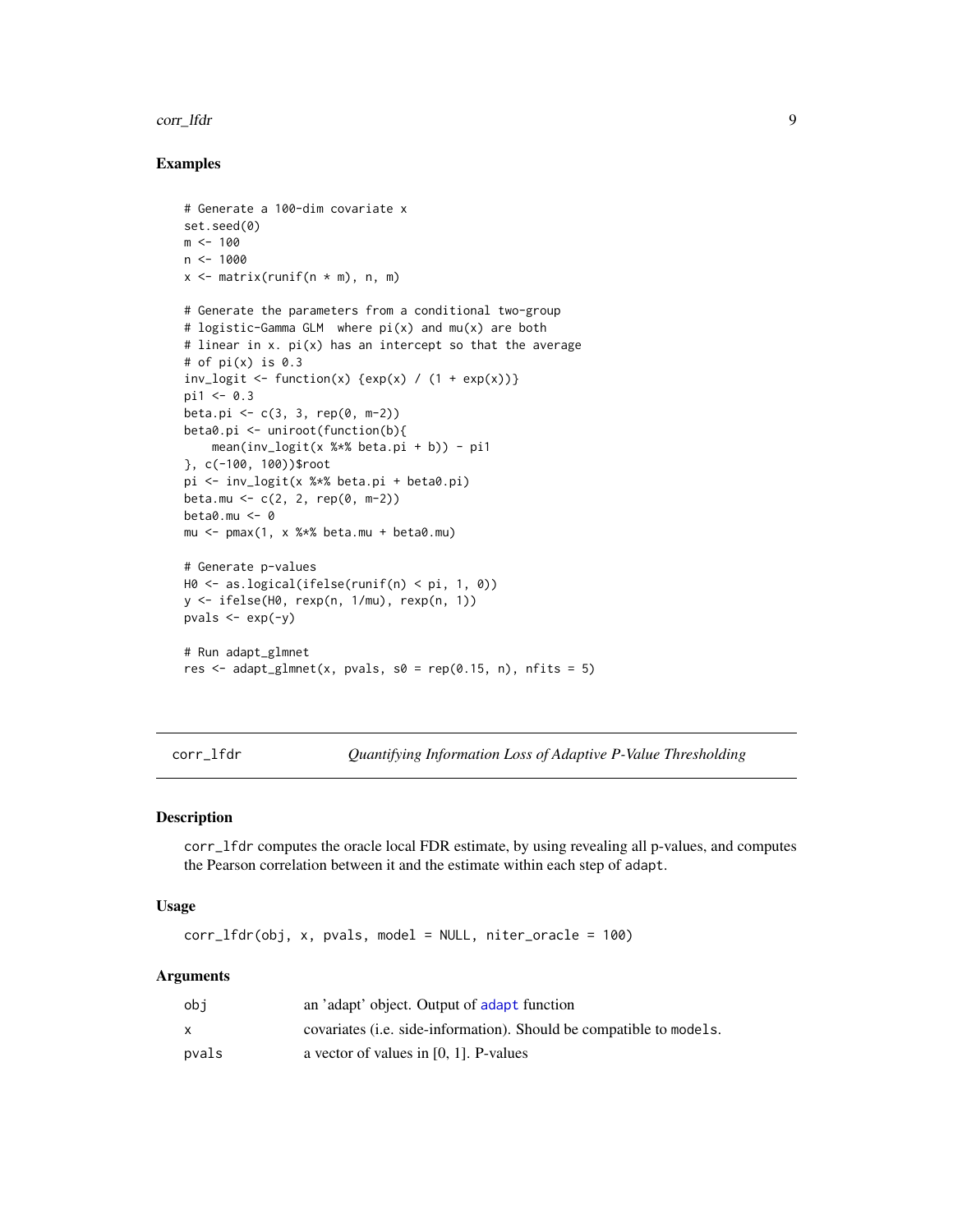#### <span id="page-8-0"></span>corr\_lfdr 9

# Examples

```
# Generate a 100-dim covariate x
set.seed(0)
m < - 100n < - 1000x \leq matrix(runif(n \times m), n, m)
# Generate the parameters from a conditional two-group
# logistic-Gamma GLM where pi(x) and mu(x) are both
# linear in x. pi(x) has an intercept so that the average
# of pi(x) is 0.3
inv\_logit \leftarrow function(x) {exp(x) / (1 + exp(x))}
pi1 < -0.3beta.pi <- c(3, 3, rep(0, m-2))beta0.pi <- uniroot(function(b){
    mean(inv_logit(x % *% beta.pi + b)) - pi1
}, c(-100, 100))$root
pi <- inv_logit(x %*% beta.pi + beta0.pi)
beta.mu <- c(2, 2, rep(0, m-2))
beta0.mu <- 0
mu \le - pmax(1, x %*% beta.mu + beta0.mu)
# Generate p-values
H0 <- as.logical(ifelse(runif(n) < pi, 1, 0))
y <- ifelse(H0, rexp(n, 1/mu), rexp(n, 1))
pvals \leftarrow exp(-y)
# Run adapt_glmnet
res \le adapt_glmnet(x, pvals, s0 = rep(0.15, n), nfits = 5)
```
corr\_lfdr *Quantifying Information Loss of Adaptive P-Value Thresholding*

#### Description

corr\_lfdr computes the oracle local FDR estimate, by using revealing all p-values, and computes the Pearson correlation between it and the estimate within each step of adapt.

## Usage

corr\_lfdr(obj, x, pvals, model = NULL, niter\_oracle = 100)

| obi   | an 'adapt' object. Output of adapt function                                 |
|-------|-----------------------------------------------------------------------------|
|       | covariates ( <i>i.e.</i> side-information). Should be compatible to models. |
| pvals | a vector of values in $[0, 1]$ . P-values                                   |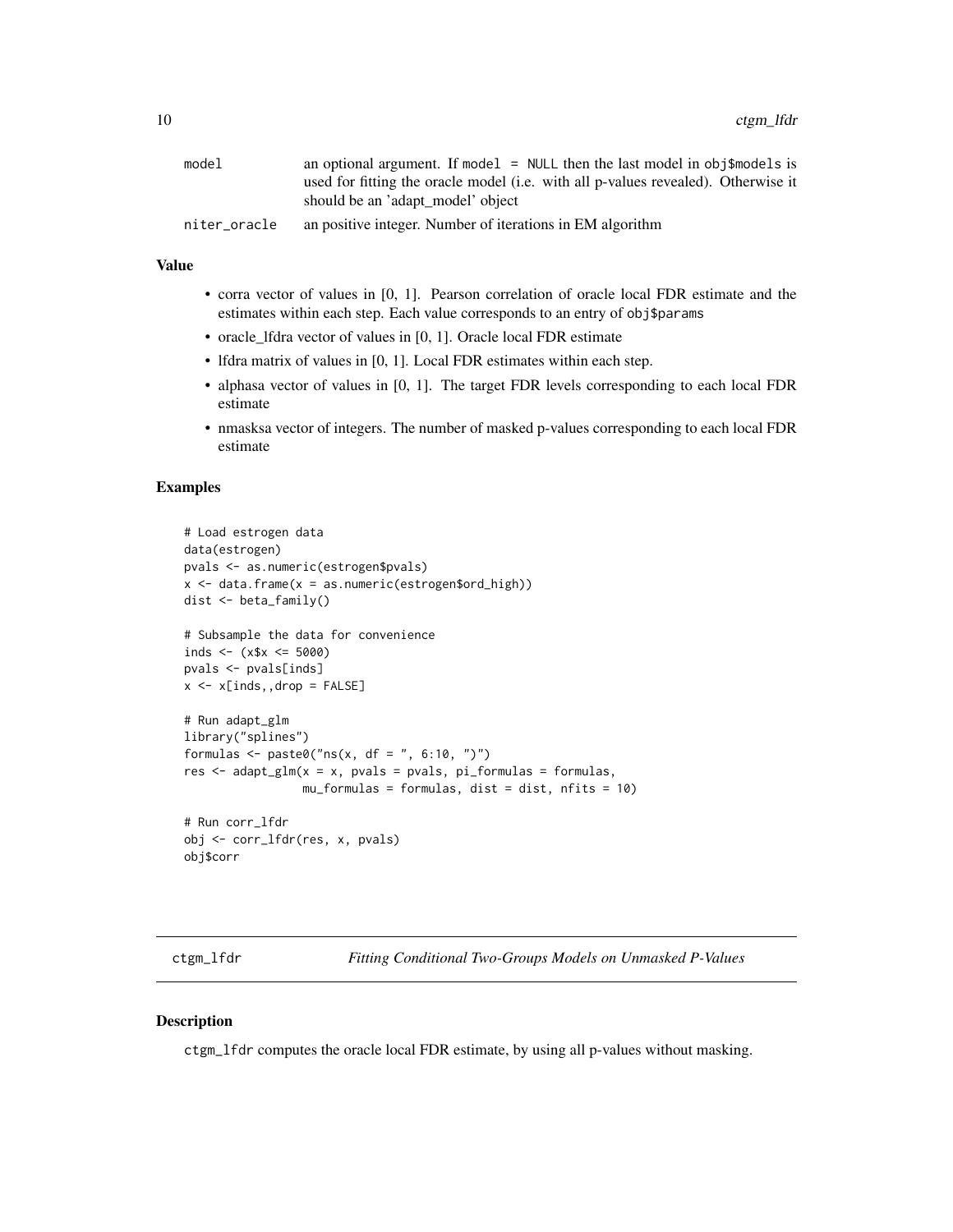<span id="page-9-0"></span>

| model        | an optional argument. If model $=$ NULL then the last model in obj\$models is     |
|--------------|-----------------------------------------------------------------------------------|
|              | used for fitting the oracle model (i.e. with all p-values revealed). Otherwise it |
|              | should be an 'adapt_model' object                                                 |
| niter_oracle | an positive integer. Number of iterations in EM algorithm                         |

# Value

- corra vector of values in [0, 1]. Pearson correlation of oracle local FDR estimate and the estimates within each step. Each value corresponds to an entry of obj\$params
- oracle\_lfdra vector of values in [0, 1]. Oracle local FDR estimate
- Ifdra matrix of values in [0, 1]. Local FDR estimates within each step.
- alphasa vector of values in [0, 1]. The target FDR levels corresponding to each local FDR estimate
- nmasksa vector of integers. The number of masked p-values corresponding to each local FDR estimate

#### Examples

```
# Load estrogen data
data(estrogen)
pvals <- as.numeric(estrogen$pvals)
x \le - data.frame(x = as.numeric(estrogen$ord_high))
dist <- beta_family()
# Subsample the data for convenience
inds <- (x$x \leq 5000)
pvals <- pvals[inds]
x \leftarrow x[inds, ,drop = FALSE]# Run adapt_glm
library("splines")
formulas <- paste0("ns(x, df = ", 6:10, ")")res \leq adapt_glm(x = x, pvals = pvals, pi_formulas = formulas,
                 mu_formulas = formulas, dist = dist, nfits = 10)
# Run corr_lfdr
obj <- corr_lfdr(res, x, pvals)
obj$corr
```
ctgm\_lfdr *Fitting Conditional Two-Groups Models on Unmasked P-Values*

## Description

ctgm\_lfdr computes the oracle local FDR estimate, by using all p-values without masking.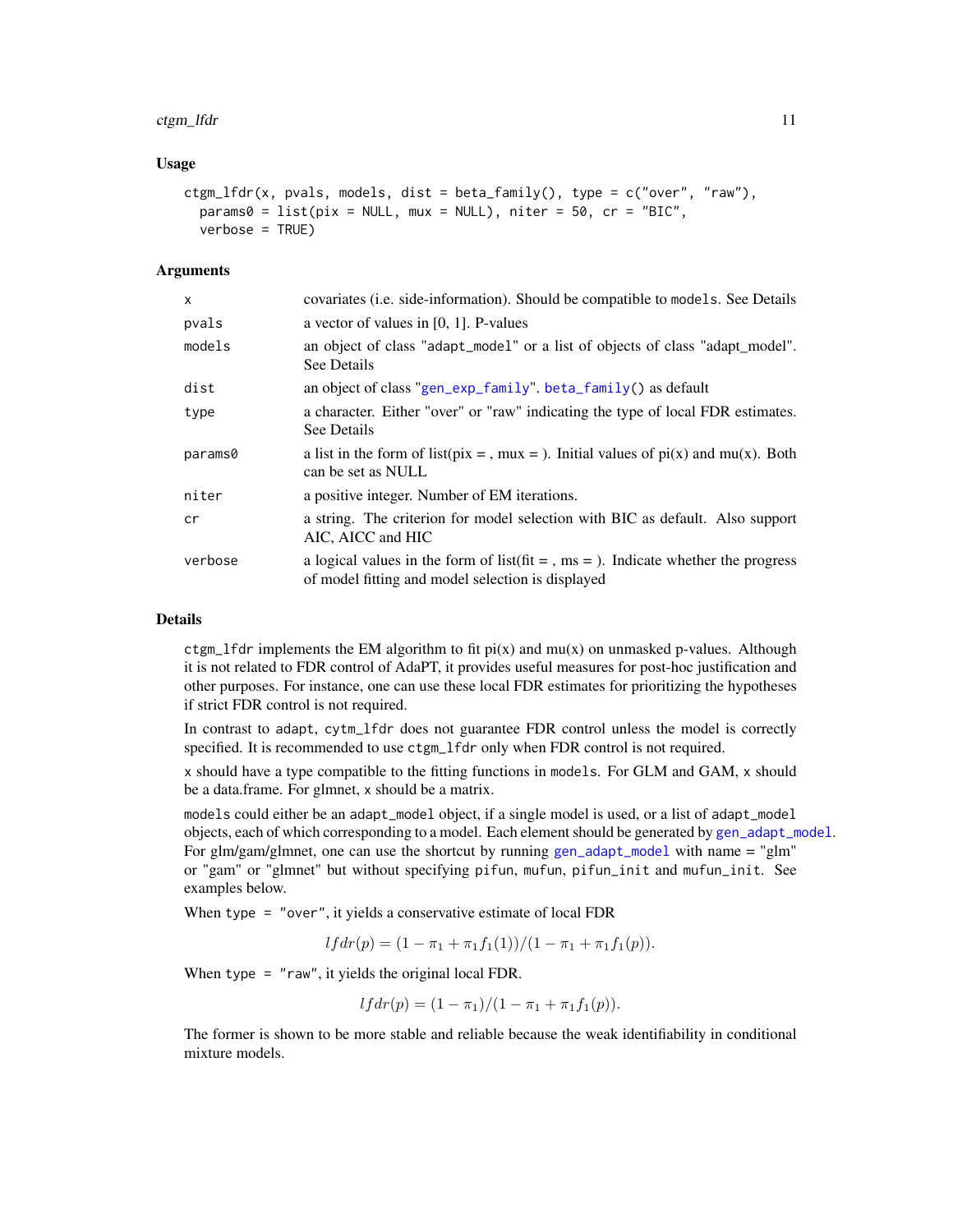#### <span id="page-10-0"></span>ctgm\_lfdr 11

#### Usage

```
ctgm_lfdr(x, pvals, models, dist = beta_family(), type = c("over", "raw"),
 params@ = list(pix = NULL, mux = NULL), niter = 50, cr = "BIC",verbose = TRUE)
```
#### Arguments

| X       | covariates (i.e. side-information). Should be compatible to models. See Details                                                                          |
|---------|----------------------------------------------------------------------------------------------------------------------------------------------------------|
| pvals   | a vector of values in $[0, 1]$ . P-values                                                                                                                |
| models  | an object of class "adapt_model" or a list of objects of class "adapt_model".<br>See Details                                                             |
| dist    | an object of class "gen_exp_family". beta_family() as default                                                                                            |
| type    | a character. Either "over" or "raw" indicating the type of local FDR estimates.<br>See Details                                                           |
| params0 | a list in the form of list(pix = , mux = ). Initial values of $pi(x)$ and mu(x). Both<br>can be set as NULL                                              |
| niter   | a positive integer. Number of EM iterations.                                                                                                             |
| cr      | a string. The criterion for model selection with BIC as default. Also support<br>AIC, AICC and HIC                                                       |
| verbose | a logical values in the form of list $(\text{fit} = \text{, ms} =)$ . Indicate whether the progress<br>of model fitting and model selection is displayed |

# Details

ctgm\_lfdr implements the EM algorithm to fit  $pi(x)$  and mu(x) on unmasked p-values. Although it is not related to FDR control of AdaPT, it provides useful measures for post-hoc justification and other purposes. For instance, one can use these local FDR estimates for prioritizing the hypotheses if strict FDR control is not required.

In contrast to adapt, cytm\_lfdr does not guarantee FDR control unless the model is correctly specified. It is recommended to use ctgm\_lfdr only when FDR control is not required.

x should have a type compatible to the fitting functions in models. For GLM and GAM, x should be a data.frame. For glmnet, x should be a matrix.

models could either be an adapt\_model object, if a single model is used, or a list of adapt\_model objects, each of which corresponding to a model. Each element should be generated by [gen\\_adapt\\_model](#page-12-1). For glm/gam/glmnet, one can use the shortcut by running [gen\\_adapt\\_model](#page-12-1) with name = "glm" or "gam" or "glmnet" but without specifying pifun, mufun, pifun\_init and mufun\_init. See examples below.

When type = "over", it yields a conservative estimate of local FDR

 $l f dr(p) = (1 - \pi_1 + \pi_1 f_1(1))/(1 - \pi_1 + \pi_1 f_1(p)).$ 

When type = "raw", it yields the original local FDR.

$$
lfdr(p) = (1 - \pi_1)/(1 - \pi_1 + \pi_1 f_1(p)).
$$

The former is shown to be more stable and reliable because the weak identifiability in conditional mixture models.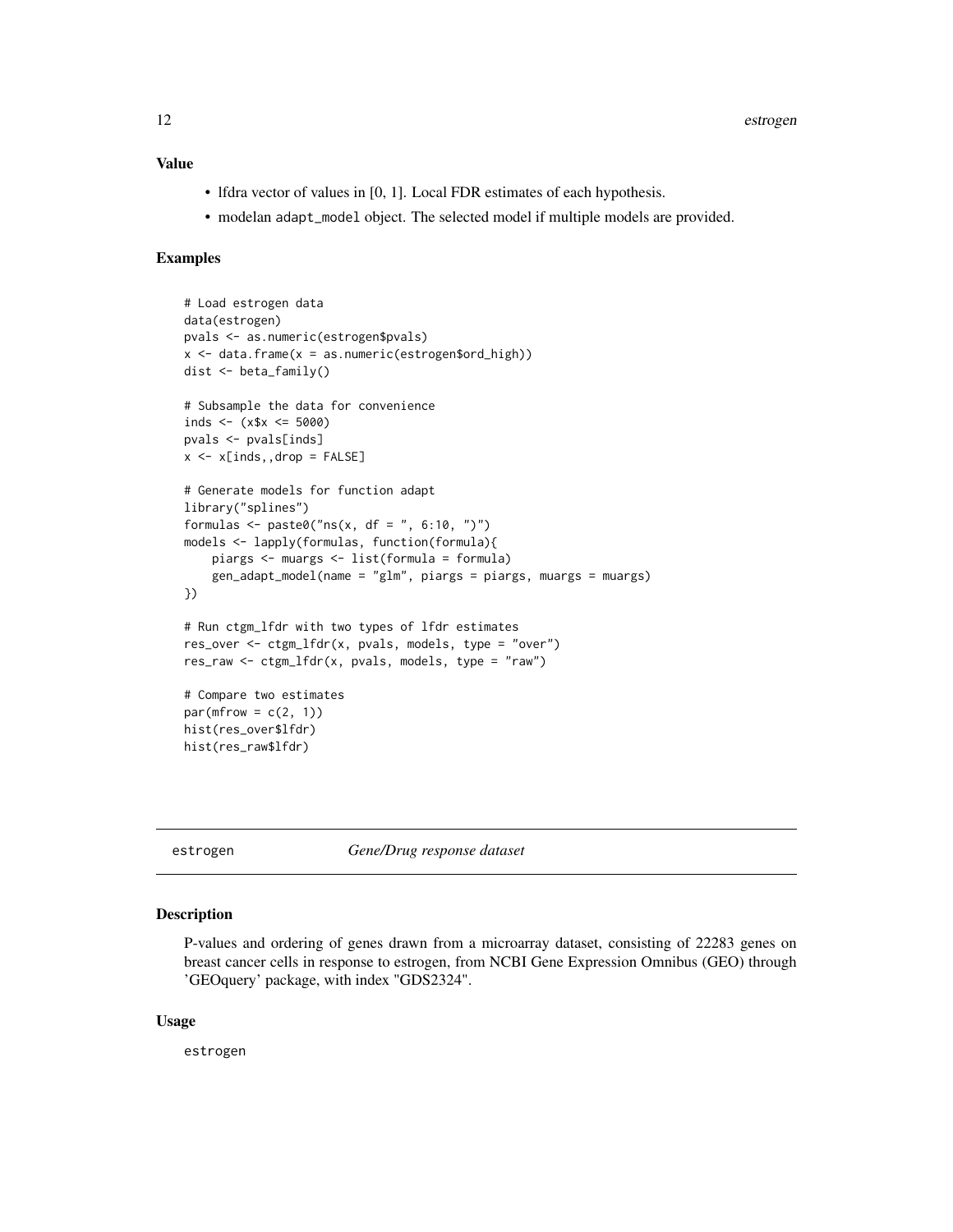# <span id="page-11-0"></span>Value

- lfdra vector of values in [0, 1]. Local FDR estimates of each hypothesis.
- modelan adapt\_model object. The selected model if multiple models are provided.

#### Examples

```
# Load estrogen data
data(estrogen)
pvals <- as.numeric(estrogen$pvals)
x \le - data.frame(x = as.numeric(estrogen$ord_high))
dist <- beta_family()
# Subsample the data for convenience
inds <- (x$x \leq 5000)
pvals <- pvals[inds]
x \le -x[inds,,drop = FALSE]
# Generate models for function adapt
library("splines")
formulas <- paste0("ns(x, df = ", 6:10, ")")
models <- lapply(formulas, function(formula){
    piargs <- muargs <- list(formula = formula)
    gen_adapt_model(name = "glm", piargs = piargs, muargs = muargs)
})
# Run ctgm_lfdr with two types of lfdr estimates
res_over \leq ctgm_lfdr(x, pvals, models, type = "over")
res_raw <- ctgm_lfdr(x, pvals, models, type = "raw")# Compare two estimates
par(mfrow = c(2, 1))hist(res_over$lfdr)
hist(res_raw$lfdr)
```
estrogen *Gene/Drug response dataset*

# Description

P-values and ordering of genes drawn from a microarray dataset, consisting of 22283 genes on breast cancer cells in response to estrogen, from NCBI Gene Expression Omnibus (GEO) through 'GEOquery' package, with index "GDS2324".

#### Usage

estrogen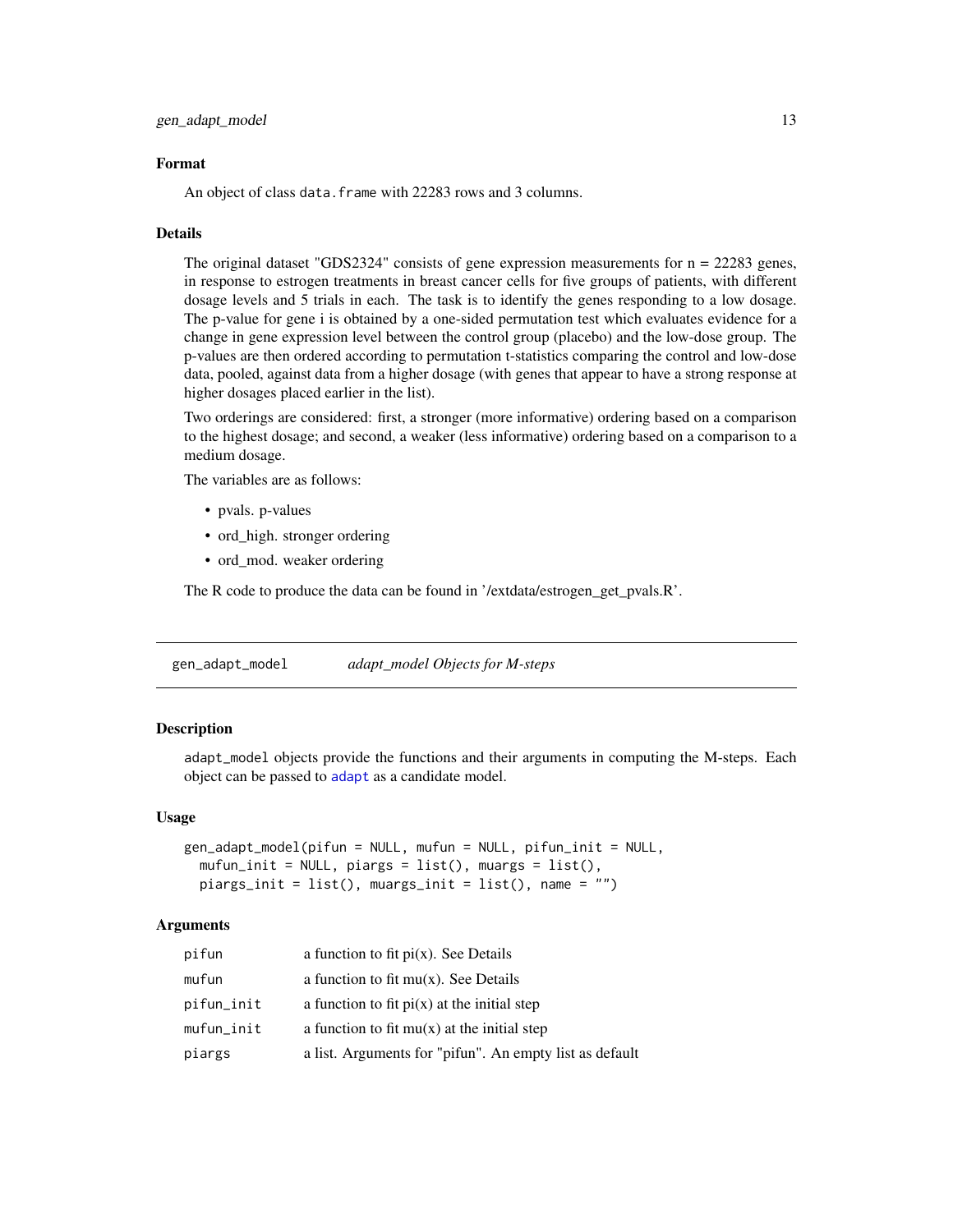#### <span id="page-12-0"></span>Format

An object of class data. frame with 22283 rows and 3 columns.

#### Details

The original dataset "GDS2324" consists of gene expression measurements for  $n = 22283$  genes, in response to estrogen treatments in breast cancer cells for five groups of patients, with different dosage levels and 5 trials in each. The task is to identify the genes responding to a low dosage. The p-value for gene i is obtained by a one-sided permutation test which evaluates evidence for a change in gene expression level between the control group (placebo) and the low-dose group. The p-values are then ordered according to permutation t-statistics comparing the control and low-dose data, pooled, against data from a higher dosage (with genes that appear to have a strong response at higher dosages placed earlier in the list).

Two orderings are considered: first, a stronger (more informative) ordering based on a comparison to the highest dosage; and second, a weaker (less informative) ordering based on a comparison to a medium dosage.

The variables are as follows:

- pvals. p-values
- ord\_high. stronger ordering
- ord\_mod. weaker ordering

The R code to produce the data can be found in '/extdata/estrogen\_get\_pvals.R'.

<span id="page-12-1"></span>gen\_adapt\_model *adapt\_model Objects for M-steps*

### **Description**

adapt\_model objects provide the functions and their arguments in computing the M-steps. Each object can be passed to [adapt](#page-1-1) as a candidate model.

#### Usage

```
gen_adapt_model(pifun = NULL, mufun = NULL, pifun_init = NULL,
 mufun_init = NULL, piargs = list(), muargs = list(),
 piargs_init = list(), muargs_init = list(), name = "")
```

| pifun         | a function to fit $pi(x)$ . See Details                 |
|---------------|---------------------------------------------------------|
| mufun         | a function to fit $mu(x)$ . See Details                 |
| pifun_init    | a function to fit $pi(x)$ at the initial step           |
| $mufun\_init$ | a function to fit $mu(x)$ at the initial step           |
| piargs        | a list. Arguments for "pifun". An empty list as default |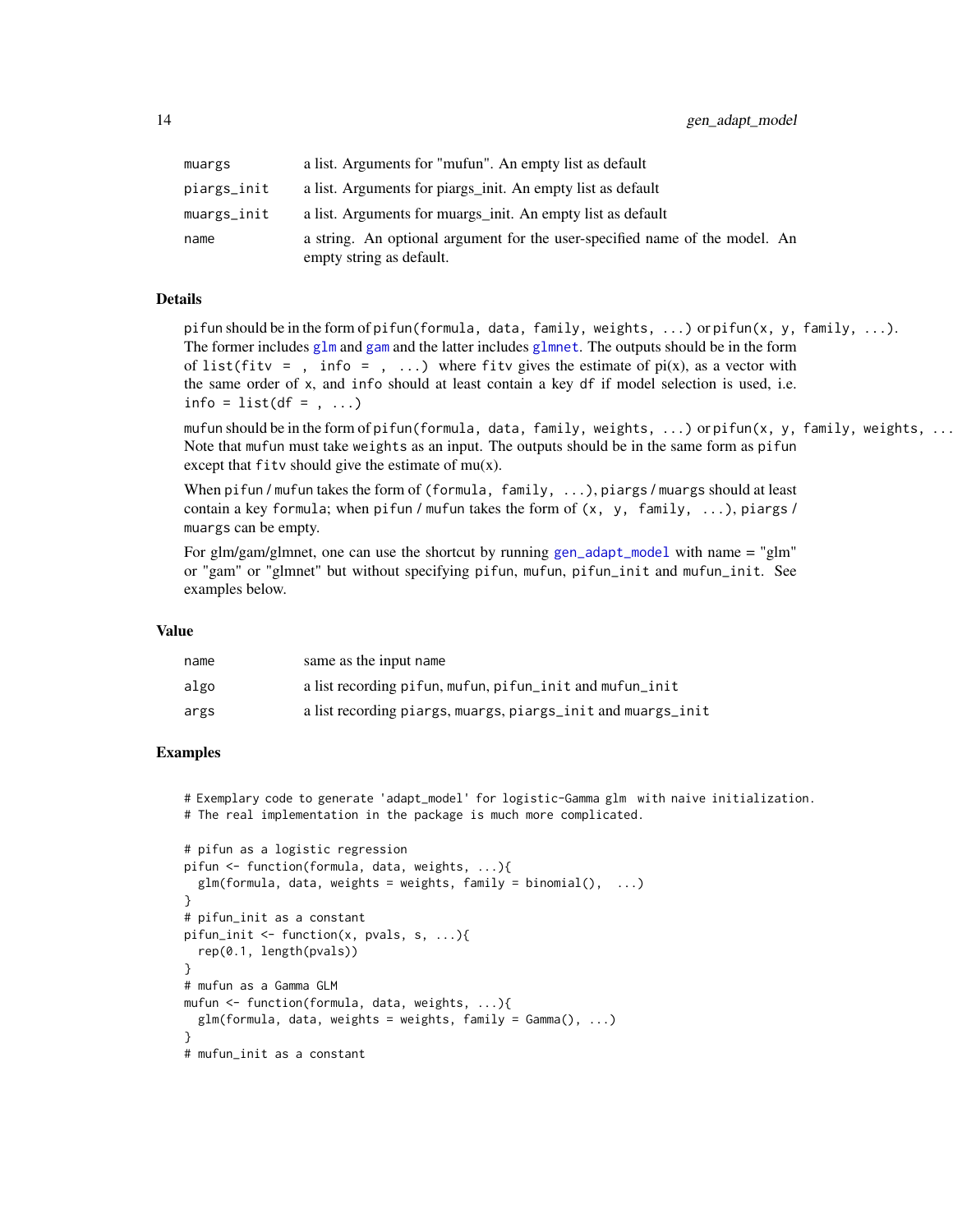<span id="page-13-0"></span>

| muargs      | a list. Arguments for "mufun". An empty list as default                                                 |
|-------------|---------------------------------------------------------------------------------------------------------|
| piargs_init | a list. Arguments for piargs_init. An empty list as default                                             |
| muargs_init | a list. Arguments for muargs_init. An empty list as default                                             |
| name        | a string. An optional argument for the user-specified name of the model. An<br>empty string as default. |

#### Details

pifun should be in the form of pifun(formula, data, family, weights, ...) or pifun(x, y, family, ...). The former includes  $g1m$  and [gam](#page-0-0) and the latter includes  $g1m$ net. The outputs should be in the form of list(fity = , info = , ...) where fit v gives the estimate of  $pi(x)$ , as a vector with the same order of x, and info should at least contain a key df if model selection is used, i.e.  $info = list(df = , ...)$ 

mufun should be in the form of pifun(formula, data, family, weights, ...) or pifun(x, y, family, weights, ... Note that mufun must take weights as an input. The outputs should be in the same form as pifun except that  $fitv$  should give the estimate of  $mu(x)$ .

When pifun / mufun takes the form of (formula, family, ...), piargs / muargs should at least contain a key formula; when pifun / mufun takes the form of  $(x, y, family, ...)$ , piargs / muargs can be empty.

For glm/gam/glmnet, one can use the shortcut by running [gen\\_adapt\\_model](#page-12-1) with name = "glm" or "gam" or "glmnet" but without specifying pifun, mufun, pifun\_init and mufun\_init. See examples below.

#### Value

| name | same as the input name                                       |
|------|--------------------------------------------------------------|
| algo | a list recording pifun, mufun, pifun_init and mufun_init     |
| args | a list recording piargs, muargs, piargs_init and muargs_init |

# Examples

```
# Exemplary code to generate 'adapt_model' for logistic-Gamma glm with naive initialization.
# The real implementation in the package is much more complicated.
```

```
# pifun as a logistic regression
pifun <- function(formula, data, weights, ...){
  glm(formula, data, weights = weights, family = binomial(), ...)}
# pifun_init as a constant
pifun_init <- function(x, pvals, s, ...){
  rep(0.1, length(pvals))
}
# mufun as a Gamma GLM
mufun <- function(formula, data, weights, ...){
  glm(formula, data, weights = weights, family = Gamma(), ...)}
# mufun_init as a constant
```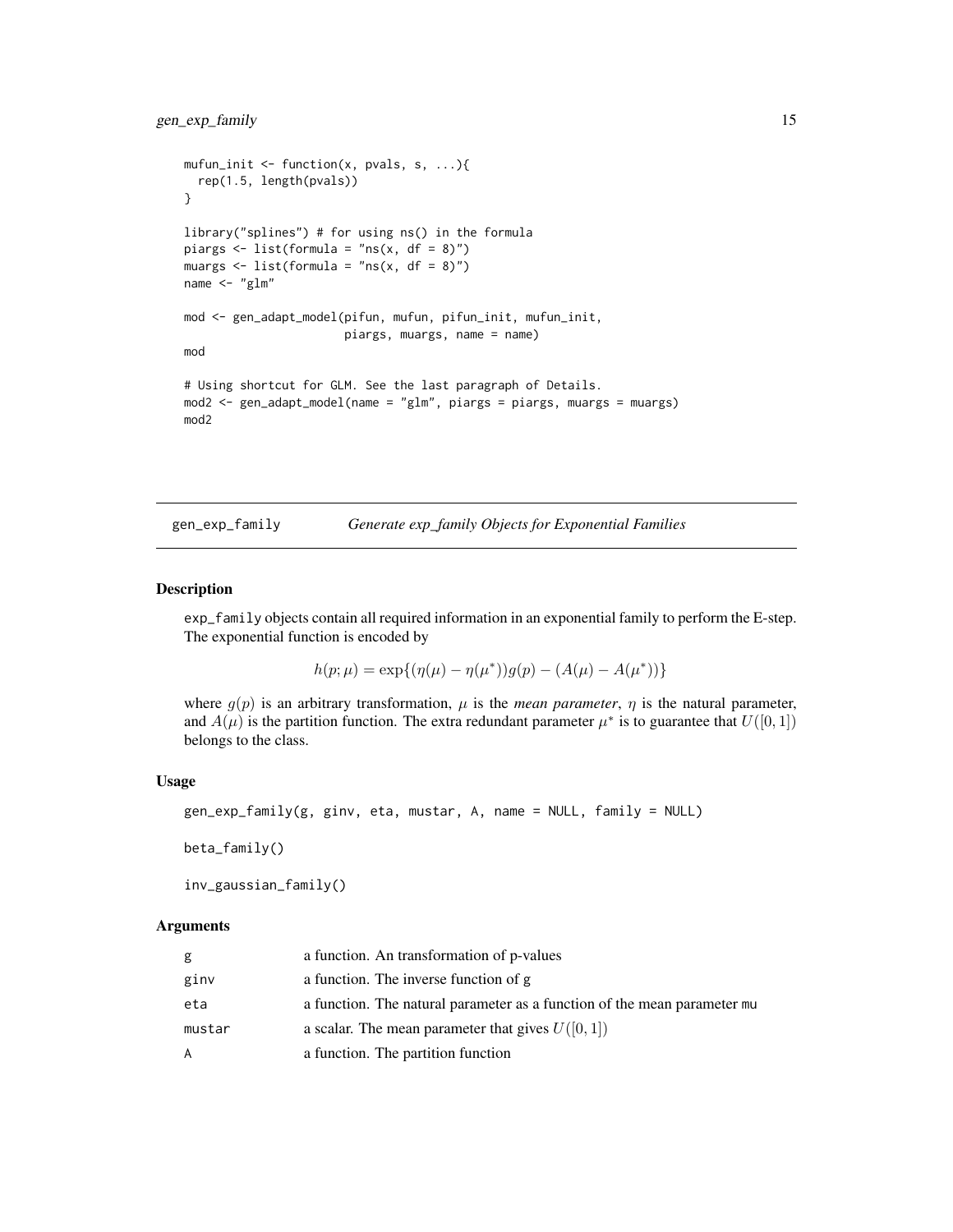```
mufun_init \leq function(x, pvals, s, ...){
  rep(1.5, length(pvals))
}
library("splines") # for using ns() in the formula
piargs \le list(formula = "ns(x, df = 8)")
muargs \le list(formula = "ns(x, df = 8)")
name <- "glm"
mod <- gen_adapt_model(pifun, mufun, pifun_init, mufun_init,
                       piargs, muargs, name = name)
mod
# Using shortcut for GLM. See the last paragraph of Details.
mod2 <- gen_adapt_model(name = "glm", piargs = piargs, muargs = muargs)
mod2
```
<span id="page-14-1"></span>gen\_exp\_family *Generate exp\_family Objects for Exponential Families*

## <span id="page-14-2"></span>Description

exp\_family objects contain all required information in an exponential family to perform the E-step. The exponential function is encoded by

$$
h(p; \mu) = \exp\{(\eta(\mu) - \eta(\mu^*))g(p) - (A(\mu) - A(\mu^*))\}
$$

where  $g(p)$  is an arbitrary transformation,  $\mu$  is the *mean parameter*,  $\eta$  is the natural parameter, and  $A(\mu)$  is the partition function. The extra redundant parameter  $\mu^*$  is to guarantee that  $U([0, 1])$ belongs to the class.

#### Usage

```
gen_exp_family(g, ginv, eta, mustar, A, name = NULL, family = NULL)
```
beta\_family()

```
inv_gaussian_family()
```

| g      | a function. An transformation of p-values                                |
|--------|--------------------------------------------------------------------------|
| ginv   | a function. The inverse function of g                                    |
| eta    | a function. The natural parameter as a function of the mean parameter mu |
| mustar | a scalar. The mean parameter that gives $U([0, 1])$                      |
| A      | a function. The partition function                                       |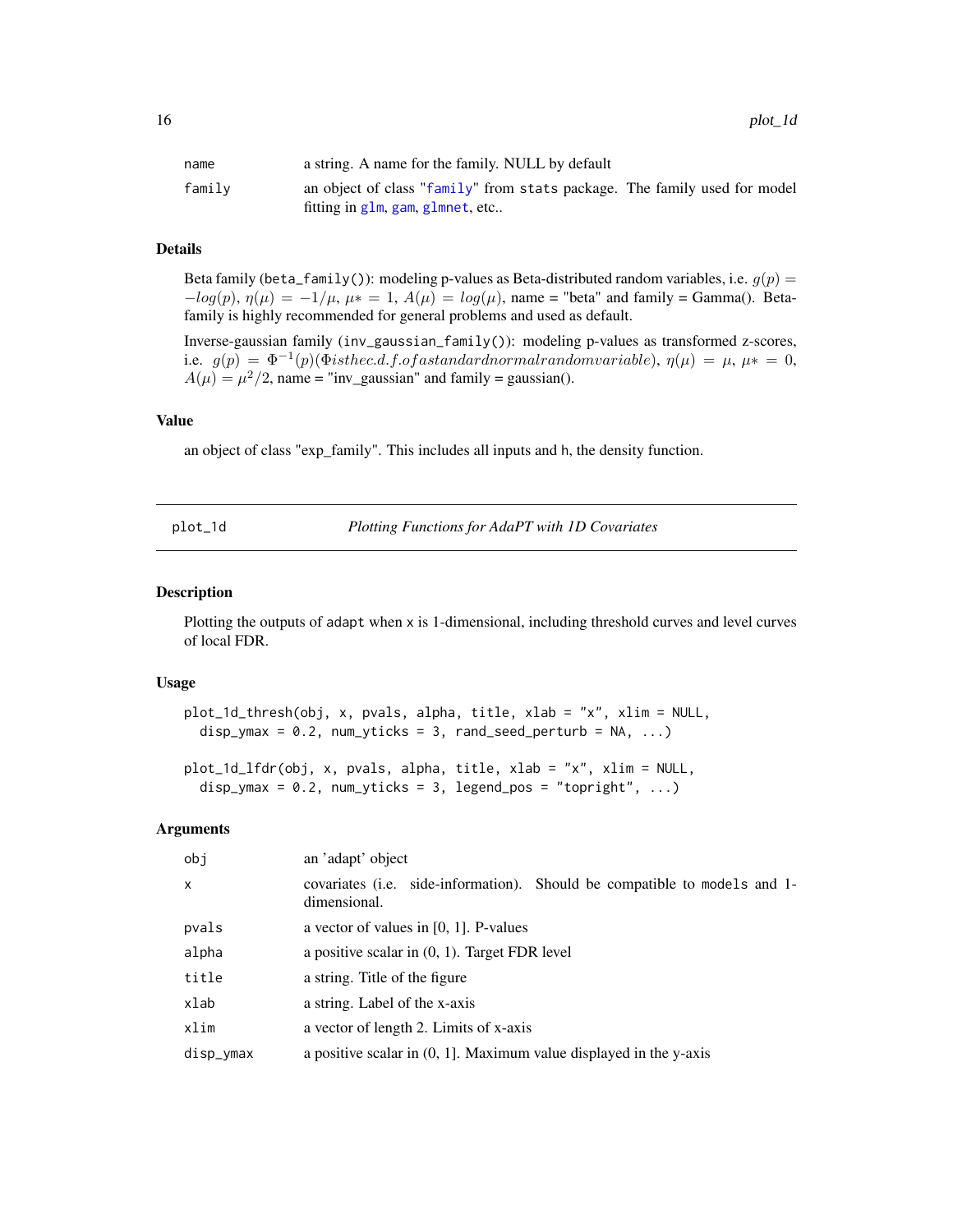<span id="page-15-0"></span>

| name   | a string. A name for the family. NULL by default                          |
|--------|---------------------------------------------------------------------------|
| family | an object of class "family" from stats package. The family used for model |
|        | fitting in glm, gam, glmnet, etc                                          |

# Details

Beta family (beta\_family()): modeling p-values as Beta-distributed random variables, i.e.  $q(p)$  =  $-log(p)$ ,  $\eta(\mu) = -1/\mu$ ,  $\mu* = 1$ ,  $A(\mu) = log(\mu)$ , name = "beta" and family = Gamma(). Betafamily is highly recommended for general problems and used as default.

Inverse-gaussian family (inv\_gaussian\_family()): modeling p-values as transformed z-scores, i.e.  $g(p) = \Phi^{-1}(p)(\Phi is the c.d.f. of a standard normal random variable), \eta(\mu) = \mu, \mu* = 0,$  $A(\mu) = \mu^2/2$ , name = "inv\_gaussian" and family = gaussian().

### Value

an object of class "exp\_family". This includes all inputs and h, the density function.

plot\_1d *Plotting Functions for AdaPT with 1D Covariates*

# Description

Plotting the outputs of adapt when x is 1-dimensional, including threshold curves and level curves of local FDR.

#### Usage

```
plot_1d_thresh(obj, x, pvals, alpha, title, xlab = "x", xlim = NULL,
 disp_ymax = 0.2, num_yticks = 3, rand_seed_perturb = NA, ...)
```
plot\_1d\_lfdr(obj, x, pvals, alpha, title, xlab = "x", xlim = NULL, disp\_ymax =  $0.2$ , num\_yticks =  $3$ , legend\_pos = "topright", ...)

| obj          | an 'adapt' object                                                                                 |
|--------------|---------------------------------------------------------------------------------------------------|
| $\mathsf{x}$ | covariates ( <i>i.e.</i> side-information). Should be compatible to models and 1-<br>dimensional. |
| pvals        | a vector of values in $[0, 1]$ . P-values                                                         |
| alpha        | a positive scalar in $(0, 1)$ . Target FDR level                                                  |
| title        | a string. Title of the figure                                                                     |
| xlab         | a string. Label of the x-axis                                                                     |
| xlim         | a vector of length 2. Limits of x-axis                                                            |
| disp_ymax    | a positive scalar in $(0, 1]$ . Maximum value displayed in the y-axis                             |
|              |                                                                                                   |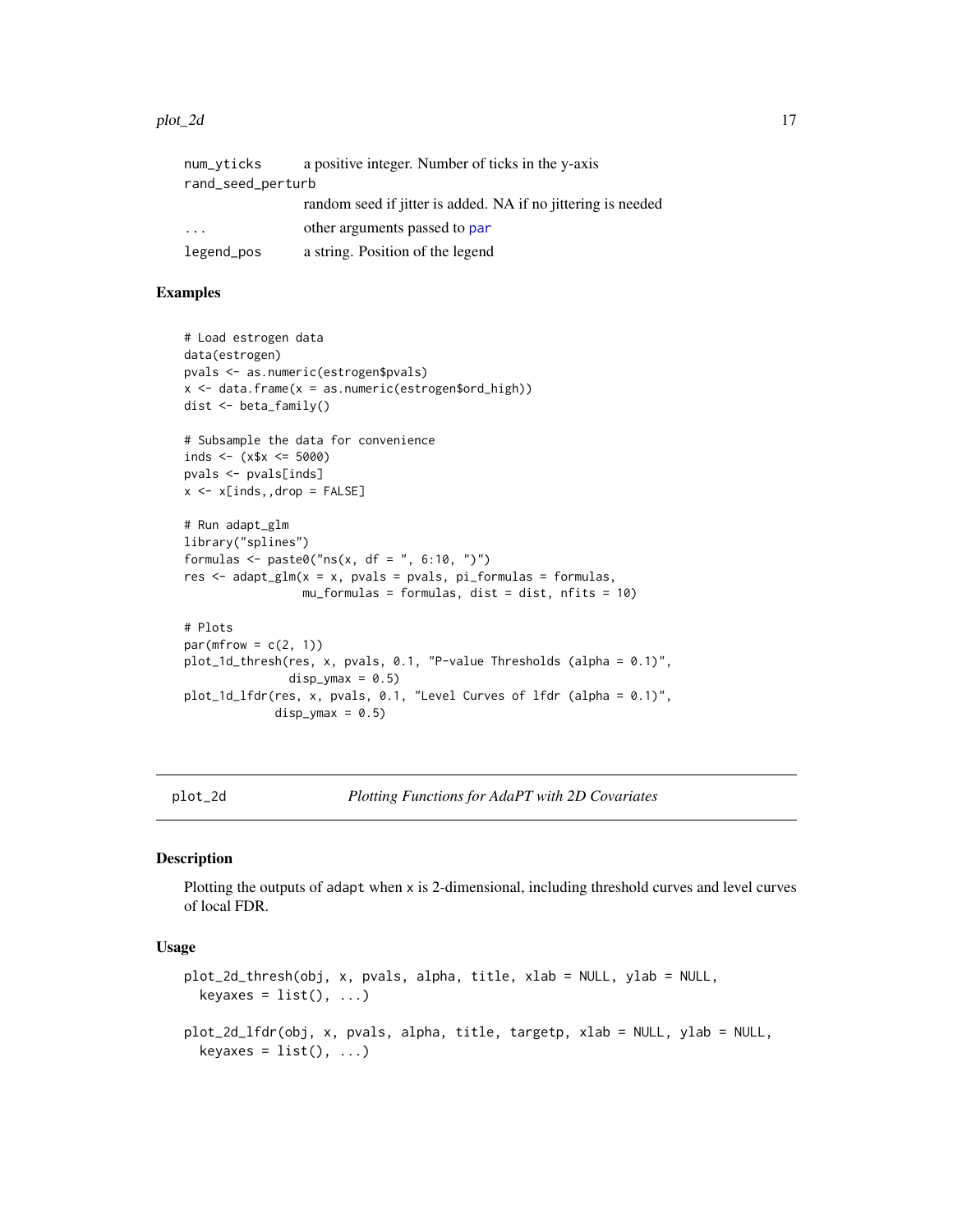#### <span id="page-16-0"></span>plot\_2d 17

| num_vticks        | a positive integer. Number of ticks in the y-axis            |
|-------------------|--------------------------------------------------------------|
| rand_seed_perturb |                                                              |
|                   | random seed if jitter is added. NA if no jittering is needed |
| .                 | other arguments passed to par                                |
| legend_pos        | a string. Position of the legend                             |

# Examples

```
# Load estrogen data
data(estrogen)
pvals <- as.numeric(estrogen$pvals)
x \le - data.frame(x = as.numeric(estrogen$ord_high))
dist <- beta_family()
# Subsample the data for convenience
inds <- (x$x <= 5000)
pvals <- pvals[inds]
x \leq x \in \text{X} x \leq x# Run adapt_glm
library("splines")
formulas <- paste0("ns(x, df = ", 6:10, ")")
res \leq adapt_glm(x = x, pvals = pvals, pi_formulas = formulas,
                 mu_formulas = formulas, dist = dist, nfits = 10)
# Plots
par(mfrow = c(2, 1))plot_1d_thresh(res, x, pvals, 0.1, "P-value Thresholds (alpha = 0.1)",
               disp_{\text{max}} = 0.5plot_1d_lfdr(res, x, pvals, 0.1, "Level Curves of lfdr (alpha = 0.1)",
             disp_ymax = 0.5)
```
plot\_2d *Plotting Functions for AdaPT with 2D Covariates*

#### Description

Plotting the outputs of adapt when x is 2-dimensional, including threshold curves and level curves of local FDR.

#### Usage

```
plot_2d_thresh(obj, x, pvals, alpha, title, xlab = NULL, ylab = NULL,
 keyaxes = list(), ...)plot_2d_lfdr(obj, x, pvals, alpha, title, targetp, xlab = NULL, ylab = NULL,
 keyaxes = list(), ...)
```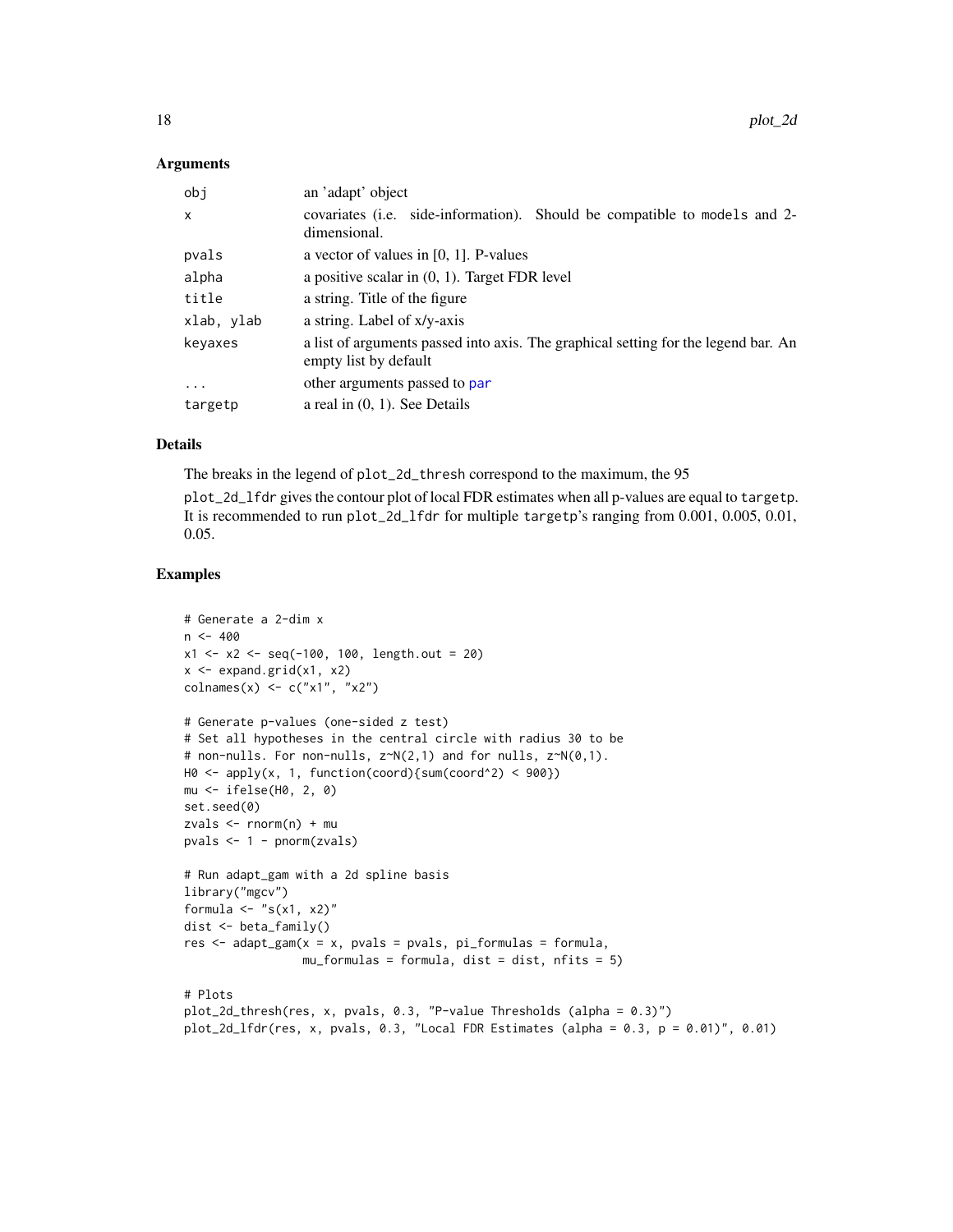#### <span id="page-17-0"></span>Arguments

| obi          | an 'adapt' object                                                                                           |
|--------------|-------------------------------------------------------------------------------------------------------------|
| $\mathsf{x}$ | covariates ( <i>i.e.</i> side-information). Should be compatible to models and 2-<br>dimensional.           |
| pvals        | a vector of values in $[0, 1]$ . P-values                                                                   |
| alpha        | a positive scalar in $(0, 1)$ . Target FDR level                                                            |
| title        | a string. Title of the figure                                                                               |
| xlab, ylab   | a string. Label of x/y-axis                                                                                 |
| keyaxes      | a list of arguments passed into axis. The graphical setting for the legend bar. An<br>empty list by default |
| $\ddotsc$    | other arguments passed to par                                                                               |
| targetp      | a real in $(0, 1)$ . See Details                                                                            |

# Details

The breaks in the legend of plot\_2d\_thresh correspond to the maximum, the 95

plot\_2d\_lfdr gives the contour plot of local FDR estimates when all p-values are equal to targetp. It is recommended to run plot\_2d\_lfdr for multiple targetp's ranging from 0.001, 0.005, 0.01, 0.05.

#### Examples

```
# Generate a 2-dim x
n < -400x1 \le -x2 \le -\text{seq}(-100, 100, \text{length.out} = 20)x \leftarrow expand.grid(x1, x2)
colnames(x) <- c("x1", "x2")
# Generate p-values (one-sided z test)
# Set all hypotheses in the central circle with radius 30 to be
# non-nulls. For non-nulls, z~N(2,1) and for nulls, z~N(0,1).
H0 \leq - apply(x, 1, function(coord){sum(coord^2) < 900})
mu <- ifelse(H0, 2, 0)
set.seed(0)
zvals <- rnorm(n) + mu
pvals <- 1 - pnorm(zvals)
# Run adapt_gam with a 2d spline basis
library("mgcv")
formula \leq "s(x1, x2)"
dist <- beta_family()
res \leq adapt_gam(x = x, pvals = pvals, pi_formulas = formula,
                 mu_formulas = formula, dist = dist, nfits = 5)
# Plots
plot_2d_thresh(res, x, pvals, 0.3, "P-value Thresholds (alpha = 0.3)")
plot_2d_lfdr(res, x, pvals, 0.3, "Local FDR Estimates (alpha = 0.3, p = 0.01)", 0.01)
```